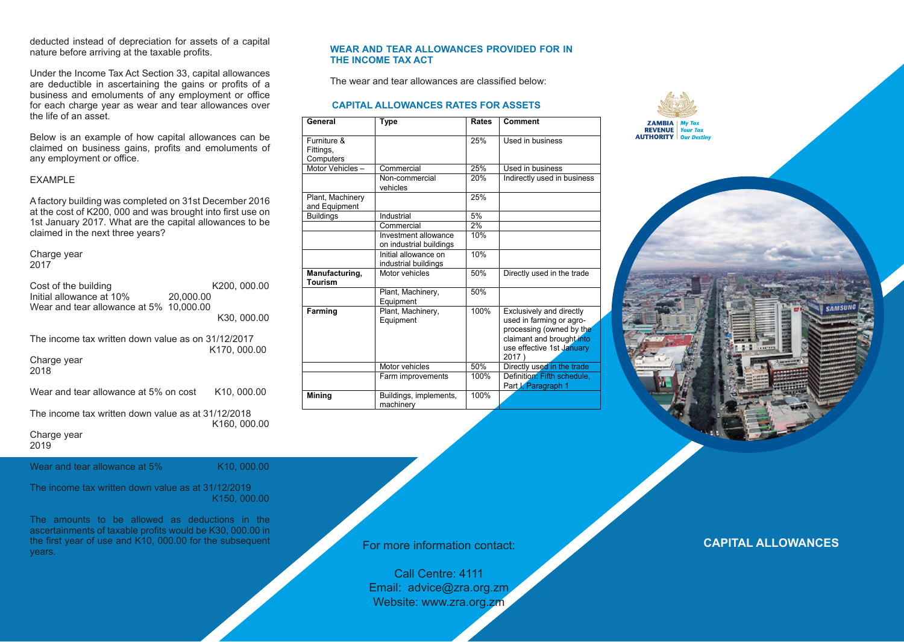deducted instead of depreciation for assets of a capital nature before arriving at the taxable profits.

Under the Income Tax Act Section 33, capital allowances are deductible in ascertaining the gains or profits of a business and emoluments of any employment or office for each charge year as wear and tear allowances over the life of an asset.

Below is an example of how capital allowances can be claimed on business gains, profits and emoluments of any employment or office.

# EXAMPLE

A factory building was completed on 31st December 2016 at the cost of K200, 000 and was brought into first use on 1st January 2017. What are the capital allowances to be claimed in the next three years?

Charge year 2017

| Cost of the building<br>Initial allowance at 10%<br>Wear and tear allowance at 5% | K200, 000.00<br>20,000.00<br>10.000.00<br>K30, 000.00 |
|-----------------------------------------------------------------------------------|-------------------------------------------------------|
| The income tax written down value as on 31/12/2017<br>Charge year<br>2018         | K170, 000.00                                          |
| Wear and tear allowance at 5% on cost                                             | K <sub>10</sub> , 000.00                              |
| The income tax written down value as at 31/12/2018<br>Charge year<br>2019         | K <sub>160</sub> , 000,00                             |
| Wear and tear allowance at 5%                                                     | K10, 000.00                                           |

The income tax written down value as at 31/12/2019 K150, 000.00

The amounts to be allowed as deductions in the ascertainments of taxable profits would be K30, 000.00 in the first year of use and K10, 000.00 for the subsequent years.

#### **WEAR AND TEAR ALLOWANCES PROVIDED FOR IN THE INCOME TAX ACT**

The wear and tear allowances are classified below:

# **CAPITAL ALLOWANCES RATES FOR ASSETS**

| General                               | Type                                            | Rates | Comment                                                                                                                                             |
|---------------------------------------|-------------------------------------------------|-------|-----------------------------------------------------------------------------------------------------------------------------------------------------|
| Furniture &<br>Fittings,<br>Computers |                                                 | 25%   | Used in business                                                                                                                                    |
| Motor Vehicles-                       | Commercial                                      | 25%   | Used in business                                                                                                                                    |
|                                       | Non-commercial<br>vehicles                      | 20%   | Indirectly used in business                                                                                                                         |
| Plant, Machinery<br>and Equipment     |                                                 | 25%   |                                                                                                                                                     |
| <b>Buildings</b>                      | Industrial                                      | 5%    |                                                                                                                                                     |
|                                       | Commercial                                      | 2%    |                                                                                                                                                     |
|                                       | Investment allowance<br>on industrial buildings | 10%   |                                                                                                                                                     |
|                                       | Initial allowance on<br>industrial buildings    | 10%   |                                                                                                                                                     |
| Manufacturing,<br><b>Tourism</b>      | Motor vehicles                                  | 50%   | Directly used in the trade                                                                                                                          |
|                                       | Plant, Machinery,<br>Equipment                  | 50%   |                                                                                                                                                     |
| Farming                               | Plant, Machinery,<br>Equipment                  | 100%  | Exclusively and directly<br>used in farming or agro-<br>processing (owned by the<br>claimant and brought into<br>use effective 1st January<br>2017) |
|                                       | Motor vehicles                                  | 50%   | Directly used in the trade                                                                                                                          |
|                                       | Farm improvements                               | 100%  | Definition: Fifth schedule,<br>Part I, Paragraph 1                                                                                                  |
| <b>Mining</b>                         | Buildings, implements,<br>machinery             | 100%  |                                                                                                                                                     |

**ZAMBIA** My Tax<br>**REVENUE** Your Tax **AUTHORITY** Our Destin

**CAPITAL ALLOWANCES**

For more information contact:

Call Centre: 4111 Email: advice@zra.org.zm Website: www.zra.org.zm